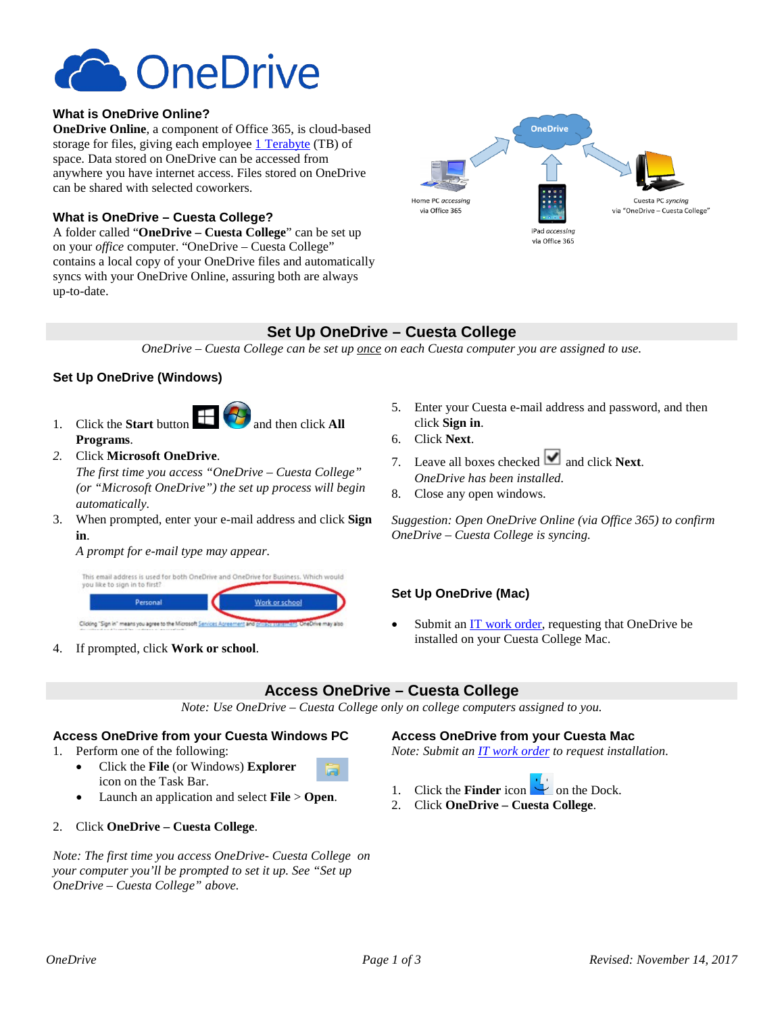

### **What is OneDrive Online?**

**OneDrive Online**, a component of Office 365, is cloud-based storage for files, giving each employee [1 Terabyte](http://www.makeuseof.com/tag/memory-sizes-gigabytes-terabytes-petabytes/) (TB) of space. Data stored on OneDrive can be accessed from anywhere you have internet access. Files stored on OneDrive can be shared with selected coworkers.

### **What is OneDrive – Cuesta College?**

A folder called "**OneDrive – Cuesta College**" can be set up on your *office* computer. "OneDrive – Cuesta College" contains a local copy of your OneDrive files and automatically syncs with your OneDrive Online, assuring both are always up-to-date.



# **Set Up OneDrive – Cuesta College**

*OneDrive – Cuesta College can be set up once on each Cuesta computer you are assigned to use.*

## **Set Up OneDrive (Windows)**

- 1. Click the **Start** button  $\Box$  **and then click All Programs**.
- *2.* Click **Microsoft OneDrive**.

*The first time you access "OneDrive – Cuesta College" (or "Microsoft OneDrive") the set up process will begin automatically.*

3. When prompted, enter your e-mail address and click **Sign in**.

#### *A prompt for e-mail type may appear.*



4. If prompted, click **Work or school**.

- 5. Enter your Cuesta e-mail address and password, and then click **Sign in**.
- 6. Click **Next**.
- 7. Leave all boxes checked  $\blacksquare$  and click **Next**. *OneDrive has been installed.*
- 8. Close any open windows.

*Suggestion: Open OneDrive Online (via Office 365) to confirm OneDrive – Cuesta College is syncing.*

#### **Set Up OneDrive (Mac)**

Submit an [IT work order,](http://www.cuesta.edu/departments/documents/training_docs/Using_Work_Order_System.pdf) requesting that OneDrive be installed on your Cuesta College Mac.

# **Access OneDrive – Cuesta College**

*Note: Use OneDrive – Cuesta College only on college computers assigned to you.*

#### **Access OneDrive from your Cuesta Windows PC**

- 1. Perform one of the following:
	- Click the **File** (or Windows) **Explorer** icon on the Task Bar.
	- Launch an application and select **File** > **Open**.
- 2. Click **OneDrive – Cuesta College**.

*Note: The first time you access OneDrive- Cuesta College on your computer you'll be prompted to set it up. See "Set up OneDrive – Cuesta College" above.*

#### **Access OneDrive from your Cuesta Mac**

*Note: Submit an [IT work order](http://www.cuesta.edu/departments/documents/training_docs/Using_Work_Order_System.pdf) to request installation.*

- 1. Click the **Finder** icon  $\Box$  on the Dock.
- 2. Click **OneDrive – Cuesta College**.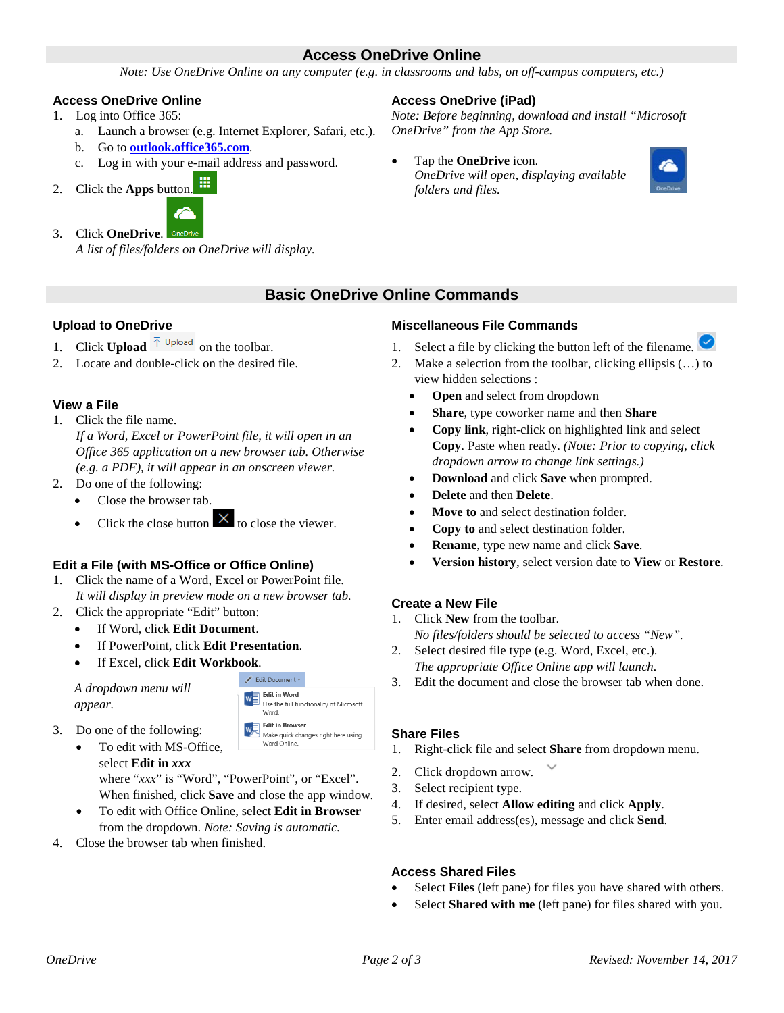## **Access OneDrive Online**

*Note: Use OneDrive Online on any computer (e.g. in classrooms and labs, on off-campus computers, etc.)*

### **Access OneDrive Online**

- 1. Log into Office 365:
	- a. Launch a browser (e.g. Internet Explorer, Safari, etc.).
	- b. Go to **[outlook.office365.com](https://outlook.office365.com/)**.
	- c. Log in with your e-mail address and password.
- 灩 2. Click the **Apps** button.



*A list of files/folders on OneDrive will display.*

### **Access OneDrive (iPad)**

*Note: Before beginning, download and install "Microsoft OneDrive" from the App Store.*

• Tap the **OneDrive** icon. *OneDrive will open, displaying available folders and files.*



# **Basic OneDrive Online Commands**

## **Upload to OneDrive**

- 1. Click **Upload**  $\bar{\uparrow}$  Upload on the toolbar.
- 2. Locate and double-click on the desired file.

### **View a File**

- 1. Click the file name. *If a Word, Excel or PowerPoint file, it will open in an Office 365 application on a new browser tab. Otherwise (e.g. a PDF), it will appear in an onscreen viewer.*
- 2. Do one of the following:
	- Close the browser tab.
	- Click the close button  $\overline{X}$  to close the viewer.

### **Edit a File (with MS-Office or Office Online)**

- 1. Click the name of a Word, Excel or PowerPoint file. *It will display in preview mode on a new browser tab.*
- 2. Click the appropriate "Edit" button:
	- If Word, click **Edit Document**.
	- If PowerPoint, click **Edit Presentation**.
	- If Excel, click **Edit Workbook**.

*A dropdown menu will appear.*



- To edit with MS-Office. select **Edit in** *xxx* where "*xxx*" is "Word", "PowerPoint", or "Excel". When finished, click **Save** and close the app window.
- To edit with Office Online, select **Edit in Browser** from the dropdown. *Note: Saving is automatic.*
- 4. Close the browser tab when finished.



- 1. Select a file by clicking the button left of the filename.
- 2. Make a selection from the toolbar, clicking ellipsis (…) to view hidden selections :
	- **Open** and select from dropdown
	- **Share**, type coworker name and then **Share**
	- **Copy link**, right-click on highlighted link and select **Copy**. Paste when ready. *(Note: Prior to copying, click dropdown arrow to change link settings.)*
	- **Download** and click **Save** when prompted.
	- **Delete** and then **Delete**.
	- **Move to** and select destination folder.
	- **Copy to** and select destination folder.
	- **Rename**, type new name and click **Save**.
	- **Version history**, select version date to **View** or **Restore**.

### **Create a New File**

- 1. Click **New** from the toolbar. *No files/folders should be selected to access "New".*
- 2. Select desired file type (e.g. Word, Excel, etc.). *The appropriate Office Online app will launch.*
- 3. Edit the document and close the browser tab when done.

### **Share Files**

- 1. Right-click file and select **Share** from dropdown menu.
- 2. Click dropdown arrow.
- 3. Select recipient type.
- 4. If desired, select **Allow editing** and click **Apply**.
- 5. Enter email address(es), message and click **Send**.

## **Access Shared Files**

- Select **Files** (left pane) for files you have shared with others.
- Select **Shared with me** (left pane) for files shared with you.